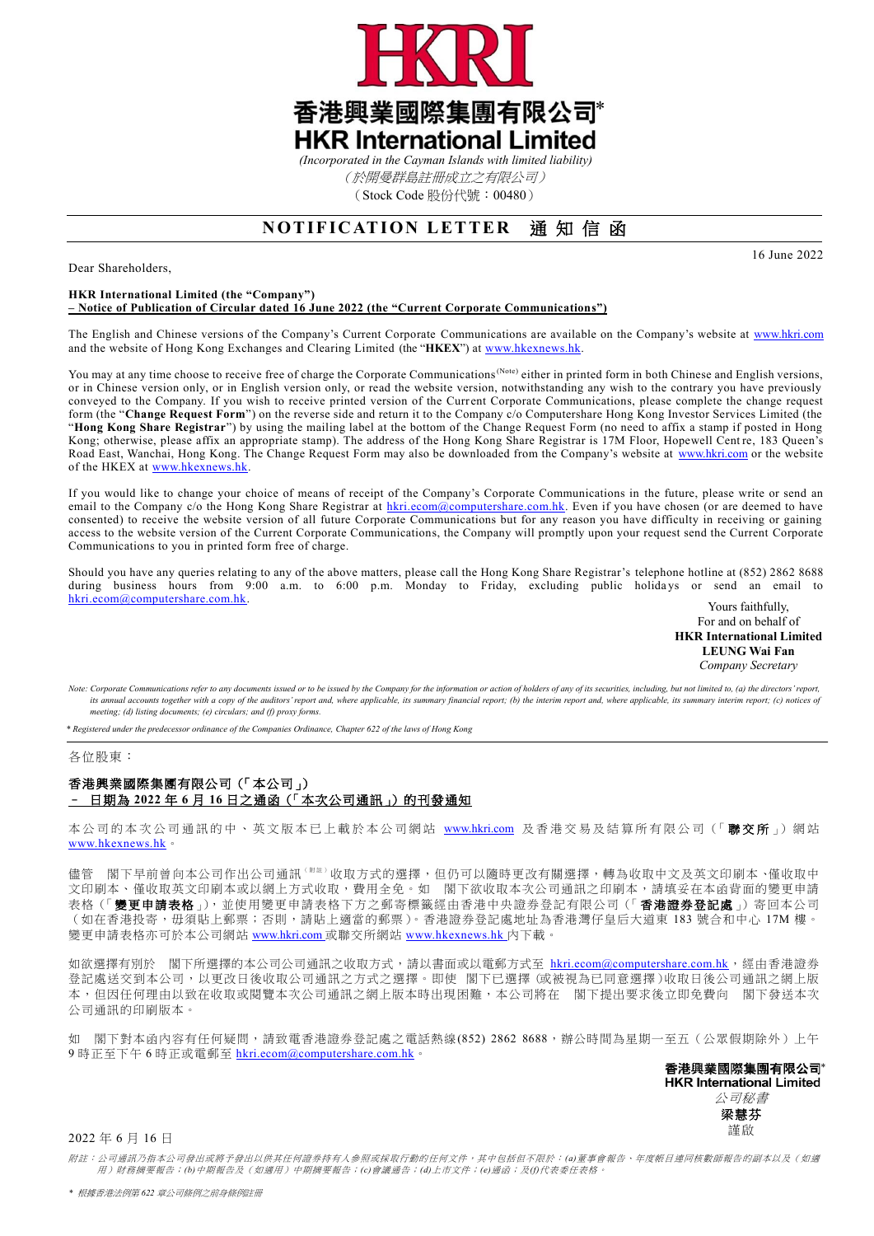

(於開曼群島註冊成立之有限公司)

(Stock Code 股份代號:00480)

# **NOTIFICATION LETTER** 通知信函

Dear Shareholders,

16 June 2022

#### **HKR International Limited (the "Company") – Notice of Publication of Circular dated 16 June 2022 (the "Current Corporate Communications")**

The English and Chinese versions of the Company's Current Corporate Communications are available on the Company's website at [www.hkri.com](http://www.hkri.com/) and the website of Hong Kong Exchanges and Clearing Limited (the "**HKEX**") at [www.hkexnews.hk.](http://www.hkexnews.hk/)

You may at any time choose to receive free of charge the Corporate Communications<sup>(Note)</sup> either in printed form in both Chinese and English versions, or in Chinese version only, or in English version only, or read the website version, notwithstanding any wish to the contrary you have previously conveyed to the Company. If you wish to receive printed version of the Current Corporate Communications, please complete the change request form (the "**Change Request Form**") on the reverse side and return it to the Company c/o Computershare Hong Kong Investor Services Limited (the "**Hong Kong Share Registrar**") by using the mailing label at the bottom of the Change Request Form (no need to affix a stamp if posted in Hong Kong; otherwise, please affix an appropriate stamp). The address of the Hong Kong Share Registrar is 17M Floor, Hopewell Cent re, 183 Queen's Road East, Wanchai, Hong Kong. The Change Request Form may also be downloaded from the Company's website at [www.hkri.com](http://www.hkri.com/) or the website of the HKEX at [www.hkexnews.hk.](http://www.hkexnews.hk/)

If you would like to change your choice of means of receipt of the Company's Corporate Communications in the future, please write or send an email to the Company c/o the Hong Kong Share Registrar at [hkri.ecom@computershare.com.hk.](mailto:hkri.ecom@computershare.com.hk) Even if you have chosen (or are deemed to have consented) to receive the website version of all future Corporate Communications but for any reason you have difficulty in receiving or gaining access to the website version of the Current Corporate Communications, the Company will promptly upon your request send the Current Corporate Communications to you in printed form free of charge.

Should you have any queries relating to any of the above matters, please call the Hong Kong Share Registrar's telephone hotline at (852) 2862 8688 during business hours from 9:00 a.m. to 6:00 p.m. Monday to Friday, excluding public holidays or send an email to [hkri.ecom@computershare.com.hk.](mailto:hkri.ecom@computershare.com.hk) Yours faithfully,

For and on behalf of **HKR International Limited LEUNG Wai Fan** *Company Secretary*

Note: Corporate Communications refer to any documents issued or to be issued by the Company for the information or action of holders of any of its securities, including, but not limited to, (a) the directors' report, its annual accounts together with a copy of the auditors' report and, where applicable, its summary financial report; (b) the interim report and, where applicable, its summary interim report; (c) notices of *meeting; (d) listing documents; (e) circulars; and (f) proxy forms.*

*\* Registered under the predecessor ordinance of the Companies Ordinance, Chapter 622 of the laws of Hong Kong*

### 各位股東:

## 香港興業國際集圑有限公司(「本公司」) – 日期為 **2022** 年 **6** 月 **16** 日之通函(「本次公司通訊」)的刊發通知

本公司的本次公司通訊的中、英文版本已上載於本公司網站 [www.hkri.com](https://www.hkri.com/zh-TW) 及香港交易及結算所有限公司(「聯交所」)網站 [www.hkexnews.hk](https://www.hkexnews.hk/index_c.htm)。

儘管 閣下早前曾向本公司作出公司通訊 「<sup>## 」</sup>收取方式的選擇,但仍可以隨時更改有關選擇,轉為收取中文及英文印刷本、僅收取中 文印刷本、僅收取英文印刷本或以網上方式收取,費用全免。如 閣下欲收取本次公司通訊之印刷本,請填妥在本函背面的變更申請 表格(「變更申請表格」),並使用變更申請表格下方之郵寄標籤經由香港中央證券登記有限公司(「香港證券登記處」)寄回本公司 (如在香港投寄,毋須貼上郵票;否則,請貼上適當的郵票)。香港證券登記處地址為香港灣仔皇后大道東 183號合和中心 17M 樓。 變更申請表格亦可於本公司網站 [www.hkri.com](https://www.hkri.com/zh-TW) 或聯交所網站 [www.hkexnews.hk](http://www.hkexnews.hk/) 内下載。

如欲選擇有別於 閣下所選擇的本公司公司通訊之收取方式,請以書面或以電郵方式至 [hkri.ecom@computershare.com.hk](mailto:hkri.ecom@computershare.com.hk),經由香港證券 登記處送交到本公司,以更改日後收取公司通訊之方式之選擇。即使 閣下已選擇(或被視為已同意選擇)收取日後公司通訊之網上版 本,但因任何理由以致在收取或閱覽本次公司通訊之網上版本時出現困難,本公司將在 閣下提出要求後立即免費向 閣下發送本次 公司通訊的印刷版本。

如 閣下對本函內容有任何疑問,請致電香港證券登記處之電話熱線(852) 2862 8688,辦公時間為星期一至五(公眾假期除外)上午 9 時正至下午 6 時正或電郵至 [hkri.ecom@computershare.com.hk](mailto:hkri.ecom@computershare.com.hk)。

香港興業國際集團有限公司\* **HKR International Limited** 公司秘書 梁慧芬 謹啟

### 2022 年 6 月 16 日

附註:公司通訊乃指本公司發出或將予發出以供其任何證券持有人參照或採取行動的任何文件,其中包括但不限於:*(a)*董事會報告、年度帳目連同核數師報告的副本以及(如適 用)財務摘要報告;*(b)*中期報告及(如適用)中期摘要報告;*(c)*會議通告;*(d)*上市文件;*(e)*通函;及*(f)*代表委任表格。